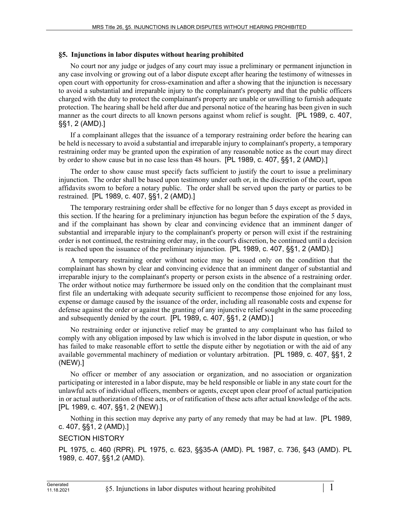## **§5. Injunctions in labor disputes without hearing prohibited**

No court nor any judge or judges of any court may issue a preliminary or permanent injunction in any case involving or growing out of a labor dispute except after hearing the testimony of witnesses in open court with opportunity for cross-examination and after a showing that the injunction is necessary to avoid a substantial and irreparable injury to the complainant's property and that the public officers charged with the duty to protect the complainant's property are unable or unwilling to furnish adequate protection. The hearing shall be held after due and personal notice of the hearing has been given in such manner as the court directs to all known persons against whom relief is sought. [PL 1989, c. 407, §§1, 2 (AMD).]

If a complainant alleges that the issuance of a temporary restraining order before the hearing can be held is necessary to avoid a substantial and irreparable injury to complainant's property, a temporary restraining order may be granted upon the expiration of any reasonable notice as the court may direct by order to show cause but in no case less than 48 hours. [PL 1989, c. 407, §§1, 2 (AMD).]

The order to show cause must specify facts sufficient to justify the court to issue a preliminary injunction. The order shall be based upon testimony under oath or, in the discretion of the court, upon affidavits sworn to before a notary public. The order shall be served upon the party or parties to be restrained. [PL 1989, c. 407, §§1, 2 (AMD).]

The temporary restraining order shall be effective for no longer than 5 days except as provided in this section. If the hearing for a preliminary injunction has begun before the expiration of the 5 days, and if the complainant has shown by clear and convincing evidence that an imminent danger of substantial and irreparable injury to the complainant's property or person will exist if the restraining order is not continued, the restraining order may, in the court's discretion, be continued until a decision is reached upon the issuance of the preliminary injunction. [PL 1989, c. 407, §§1, 2 (AMD).]

A temporary restraining order without notice may be issued only on the condition that the complainant has shown by clear and convincing evidence that an imminent danger of substantial and irreparable injury to the complainant's property or person exists in the absence of a restraining order. The order without notice may furthermore be issued only on the condition that the complainant must first file an undertaking with adequate security sufficient to recompense those enjoined for any loss, expense or damage caused by the issuance of the order, including all reasonable costs and expense for defense against the order or against the granting of any injunctive relief sought in the same proceeding and subsequently denied by the court. [PL 1989, c. 407, §§1, 2 (AMD).]

No restraining order or injunctive relief may be granted to any complainant who has failed to comply with any obligation imposed by law which is involved in the labor dispute in question, or who has failed to make reasonable effort to settle the dispute either by negotiation or with the aid of any available governmental machinery of mediation or voluntary arbitration. [PL 1989, c. 407, §§1, 2 (NEW).]

No officer or member of any association or organization, and no association or organization participating or interested in a labor dispute, may be held responsible or liable in any state court for the unlawful acts of individual officers, members or agents, except upon clear proof of actual participation in or actual authorization of these acts, or of ratification of these acts after actual knowledge of the acts. [PL 1989, c. 407, §§1, 2 (NEW).]

Nothing in this section may deprive any party of any remedy that may be had at law. [PL 1989, c. 407, §§1, 2 (AMD).]

## SECTION HISTORY

PL 1975, c. 460 (RPR). PL 1975, c. 623, §§35-A (AMD). PL 1987, c. 736, §43 (AMD). PL 1989, c. 407, §§1,2 (AMD).